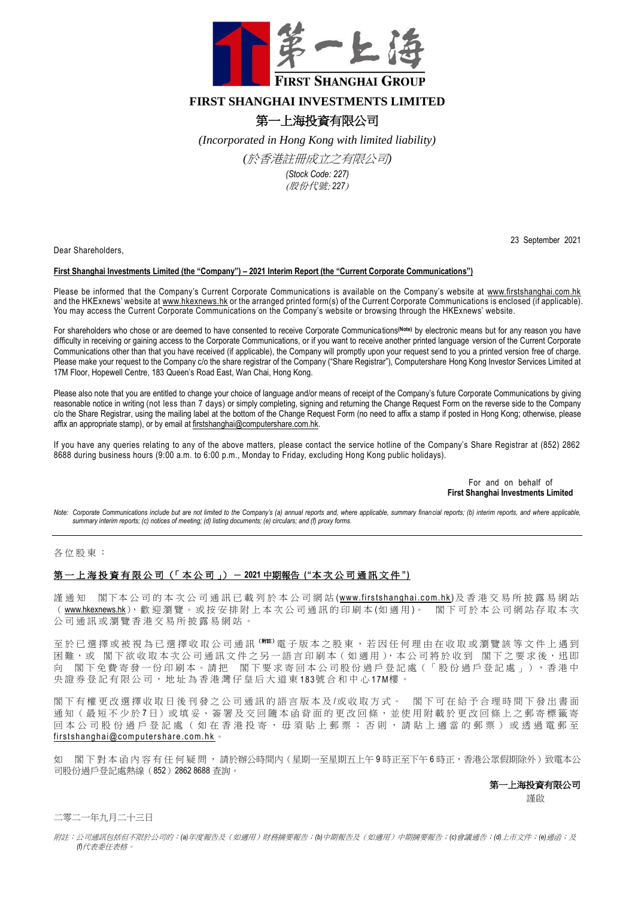

# **FIRST SHANGHAI INVESTMENTS LIMITED**

# 第一上海投資有限公司

*(Incorporated in Hong Kong with limited liability)* 

*(*於香港註冊成立之有限公司*)*

*(Stock Code: 227)* (股份代號: *227*)

Dear Shareholders,

### 23 September 2021

## **First Shanghai Investments Limited (the "Company") – 2021 Interim Report (the "Current Corporate Communications")**

Please be informed that the Company's Current Corporate Communications is available on the Company's website at [www.firstshanghai.com.hk](http://www.firstshanghai.com.hk/en/) and the HKExnews' website at [www.hkexnews.hk](http://www.hkexnews.hk/) or the arranged printed form(s) of the Current Corporate Communications is enclosed (if applicable). You may access the Current Corporate Communications on the Company's website or browsing through the HKExnews' website.

For shareholders who chose or are deemed to have consented to receive Corporate Communications**(Note)** by electronic means but for any reason you have difficulty in receiving or gaining access to the Corporate Communications, or if you want to receive another printed language version of the Current Corporate Communications other than that you have received (if applicable), the Company will promptly upon your request send to you a printed version free of charge. Please make your request to the Company c/o the share registrar of the Company ("Share Registrar"), Computershare Hong Kong Investor Services Limited at 17M Floor, Hopewell Centre, 183 Queen's Road East, Wan Chai, Hong Kong.

Please also note that you are entitled to change your choice of language and/or means of receipt of the Company's future Corporate Communications by giving reasonable notice in writing (not less than 7 days) or simply completing, signing and returning the Change Request Form on the reverse side to the Company c/o the Share Registrar, using the mailing label at the bottom of the Change Request Form (no need to affix a stamp if posted in Hong Kong; otherwise, please affix an appropriate stamp), or by email at [firstshanghai@computershare.com.hk.](mailto:firstshanghai@computershare.com.hk)

If you have any queries relating to any of the above matters, please contact the service hotline of the Company's Share Registrar at (852) 2862 8688 during business hours (9:00 a.m. to 6:00 p.m., Monday to Friday, excluding Hong Kong public holidays).

> For and on behalf of **First Shanghai Investments Limited**

*Note: Corporate Communications include but are not limited to the Company's (a) annual reports and, where applicable, summary financial reports; (b) interim reports, and where applicable, summary interim reports; (c) notices of meeting; (d) listing documents; (e) circulars; and (f) proxy forms.*

#### 各位股東:

# 第 一 上 海 投 資 有 限 公 司 (「 本 公 司 」) - **2021** 中期報告 **("**本 次 公 司 通 訊 文 件 **")**

謹 通 知 閣下本公司的本次公司通訊已載列於本公司網站 (www.firstshanghai.com.hk)及香港交易所披露易網站 ( [www.hkexnews.hk](https://www.hkexnews.hk/index_c.htm)), 歡 迎 瀏 覽 。 或 按 安 排 附 上 本 次 公 司 通 訊 的 印 刷 本 (如 適 用)。 閣 下 可 於 本 公 司 網 站 存 取 本 次 公司通訊或瀏覽香港交易所披露易網站

至於已選擇或被視為已選擇收取公司通訊 ( W 注) 電子版本之股東,若因任何理由在收取或瀏覽該等文件上遇到 困難,或 閣下欲收取本次公司通訊文件之另一語言印刷本 (如適用),本公司將於收到 閣下之要求後,迅即 閣下免費寄發一份印刷本。請把 閣下要求寄回本公司股份過戶登記處 (「股份過戶登記處」),香港中 央 證 券 登 記 有 限 公 司 , 地 址 為 香 港 灣 仔 皇 后 大 道 東 1 83號 合 和 中 心 1 7M樓 。

閣下有權更改選擇收取日後刊發之公司通訊的語言版本及/或收取方式。 閣下可在給予合理時間下發出書面 通知(最短不少於7日)或填妥、簽署及交回隨本函背面的更改回條,並使用附載於更改回條上之郵寄標籤寄 回本公司股份過戶登記處(如在香港投寄,毋須貼上郵票;否則,請貼上適當的郵票)或透過電郵至 first shanghai@computershare.com.hk 。

如 閣下 對 本 函 内 容 有 任 何 疑 問 , 請於辦公時間内 (星期一至星期五上午9時正至下午6時正,香港公眾假期除外)致電本公 司股份過戶登記處熱線(852)2862 8688 查詢。

#### 第一上海投資有限公司

この こうしょう こうしょう こうしょう 謹啟

二零二一年九月二十三日

附註:公司通訊包括但不限於公司的:*(a)*年度報告及(如適用)財務摘要報告;*(b)*中期報告及(如適用)中期摘要報告;*(c)*會議通告;*(d)*上市文件;*(e)*通函;及 *(f)*代表委任表格。